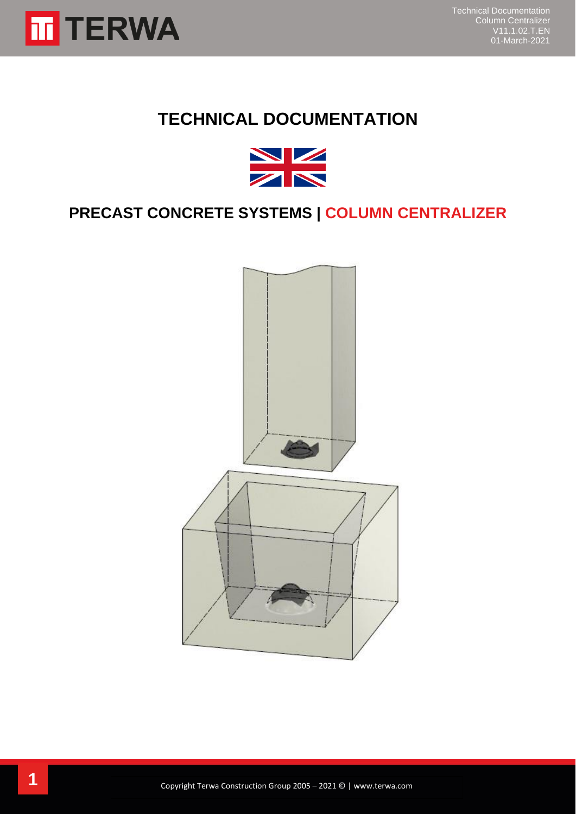

# **TECHNICAL DOCUMENTATION**



## **PRECAST CONCRETE SYSTEMS | COLUMN CENTRALIZER**

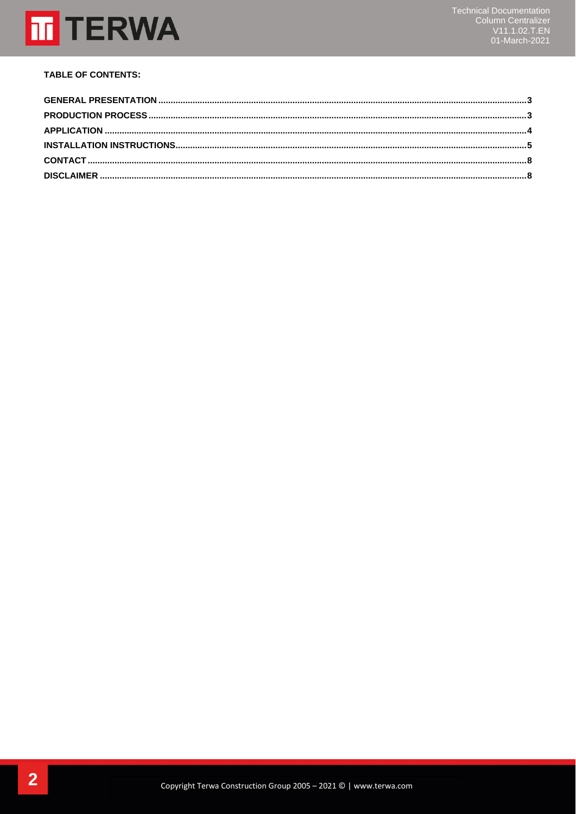

## **TABLE OF CONTENTS:**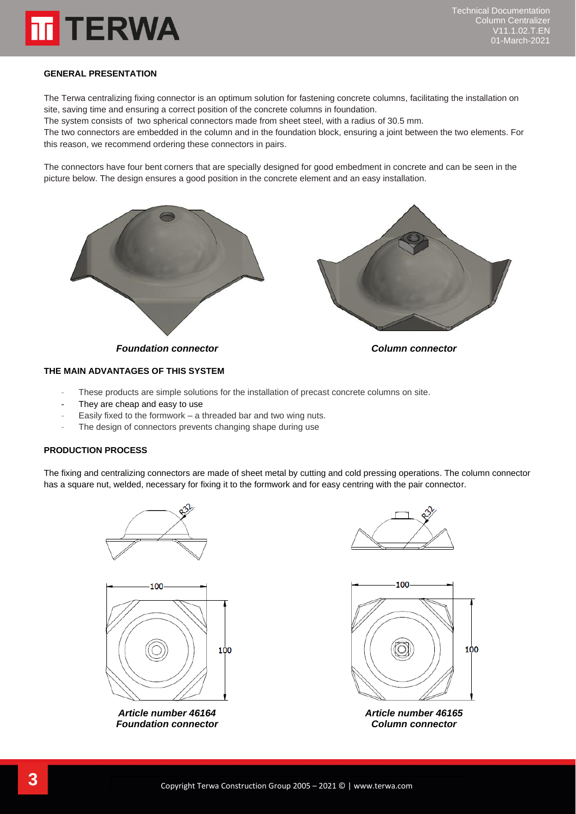

#### <span id="page-2-0"></span>**GENERAL PRESENTATION**

The Terwa centralizing fixing connector is an optimum solution for fastening concrete columns, facilitating the installation on site, saving time and ensuring a correct position of the concrete columns in foundation.

The system consists of two spherical connectors made from sheet steel, with a radius of 30.5 mm.

The two connectors are embedded in the column and in the foundation block, ensuring a joint between the two elements. For this reason, we recommend ordering these connectors in pairs.

The connectors have four bent corners that are specially designed for good embedment in concrete and can be seen in the picture below. The design ensures a good position in the concrete element and an easy installation.



## **THE MAIN ADVANTAGES OF THIS SYSTEM**

- These products are simple solutions for the installation of precast concrete columns on site.
- They are cheap and easy to use
- Easily fixed to the formwork a threaded bar and two wing nuts.
- The design of connectors prevents changing shape during use

#### <span id="page-2-1"></span>**PRODUCTION PROCESS**

The fixing and centralizing connectors are made of sheet metal by cutting and cold pressing operations. The column connector has a square nut, welded, necessary for fixing it to the formwork and for easy centring with the pair connector.





*Article number 46164 Article number 46165 Foundation connector Column connector*



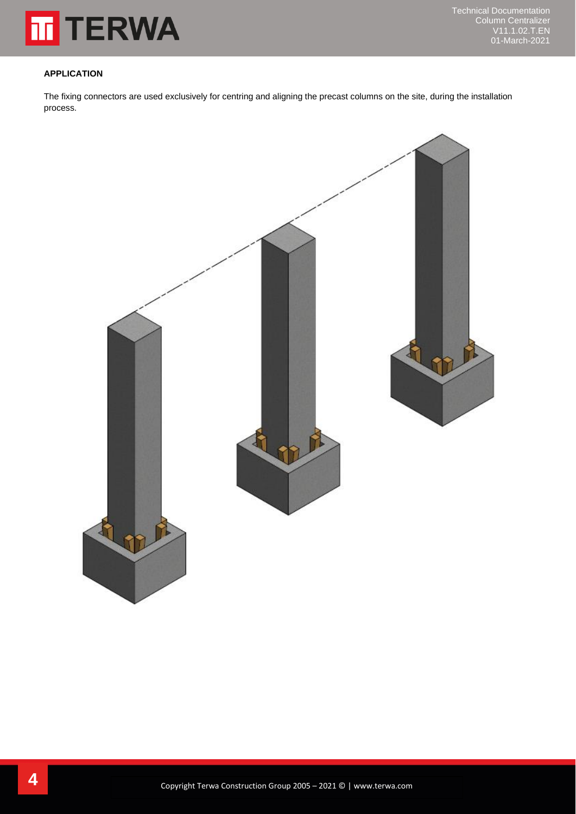

#### <span id="page-3-0"></span>**APPLICATION**

The fixing connectors are used exclusively for centring and aligning the precast columns on the site, during the installation process.

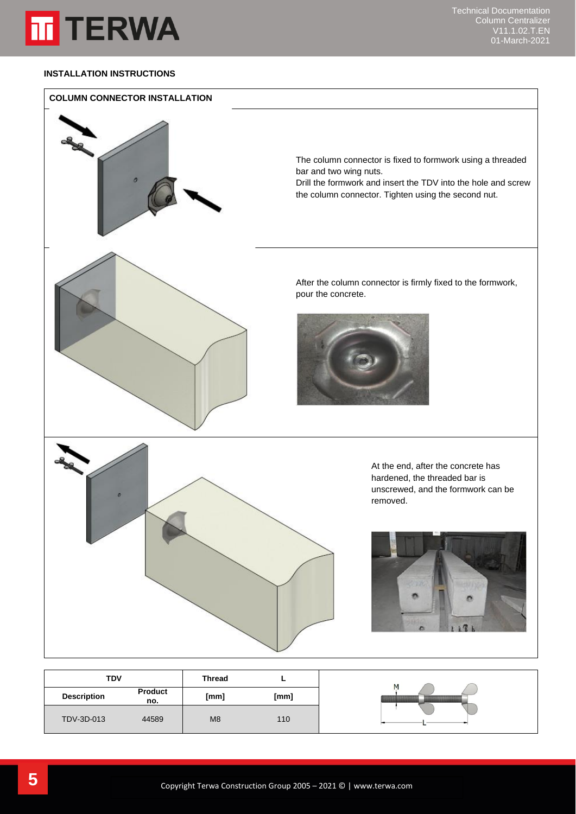

## <span id="page-4-0"></span>**INSTALLATION INSTRUCTIONS**



| <b>TDV</b>         |                       | <b>Thread</b>  | -    |  |
|--------------------|-----------------------|----------------|------|--|
| <b>Description</b> | <b>Product</b><br>no. | [mm]           | [mm] |  |
| TDV-3D-013         | 44589                 | M <sub>8</sub> | 110  |  |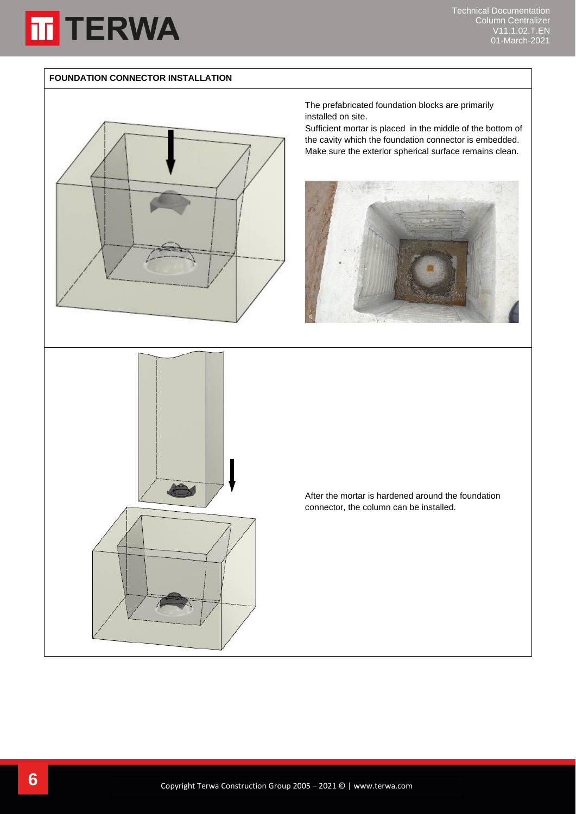

Technical Documentation Column Centralizer V11.1.02.T.EN 01-March-2021

#### **FOUNDATION CONNECTOR INSTALLATION**





The prefabricated foundation blocks are primarily installed on site.

Sufficient mortar is placed in the middle of the bottom of the cavity which the foundation connector is embedded. Make sure the exterior spherical surface remains clean.



After the mortar is hardened around the foundation connector, the column can be installed.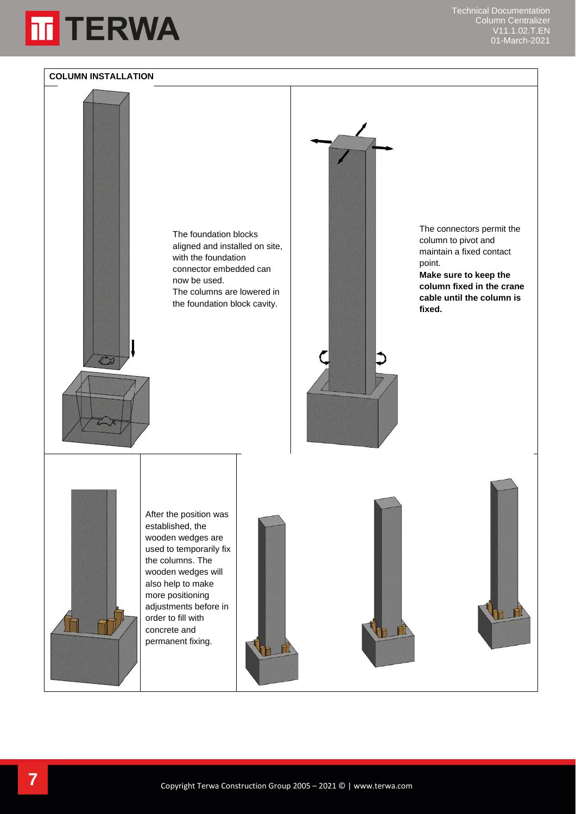